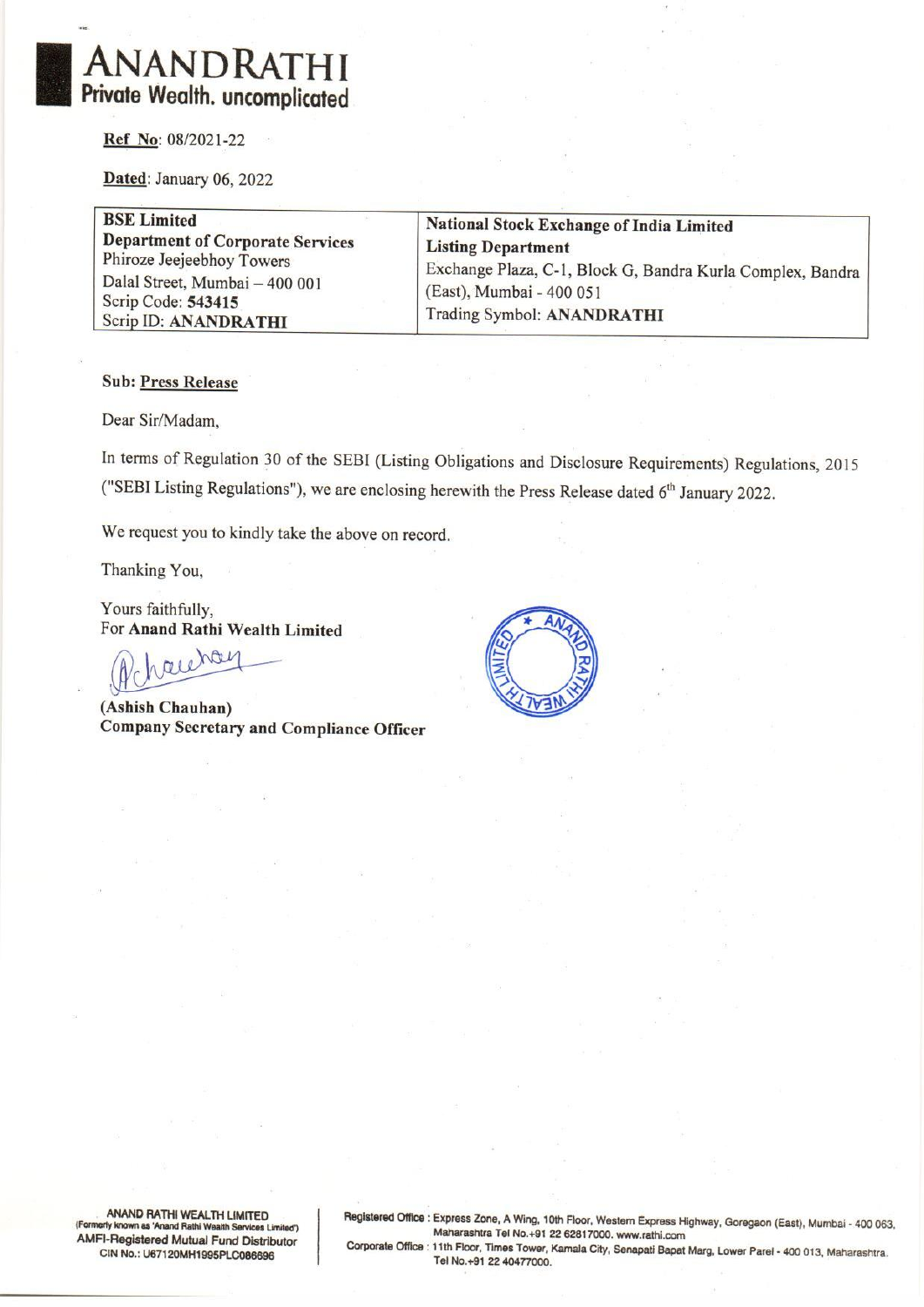

Ref No: 08/2021-22

Dated: January 06, 2022

BSE Limited<br>
Department of Corporate Services<br>
Phiroze Jeejeebhoy Towers<br>
Dalal Street, Mumbai – 400 001<br>
Scrip Code: 543415<br>
Scrip ID: ANANDRATHI<br>
Trading Symbol: ANANDRATHI<br>
Trading Symbol: ANANDRATHI

#### Sub: Press Release

Dear Sir/Madam,

In terms of Regulation 30 of the SEBI (Listing Obligations and Disclosure Requirements) Regulations, 2015 ("SEBI Listing Regulations"), we are enclosing herewith the Press Release dated 6" January 2022.

We request you to kindly take the above on record.

Thanking You,

Yours faithfully,

For Anand Rathi Wealth Limited

(Ashish Chauhan) Company Secretary and Compliance Officer



ANAND RATHI WEALTH LIMITED<br>(Formerly known as 'Anand Rathi Wealth Services Limited')<br>AMFI-Registered Mutual Fund Distributor<br>Corporate Office : 11th Floor, Times Tower, Kamala City, Senapati Bapat Marg, Lower Parel - 400 0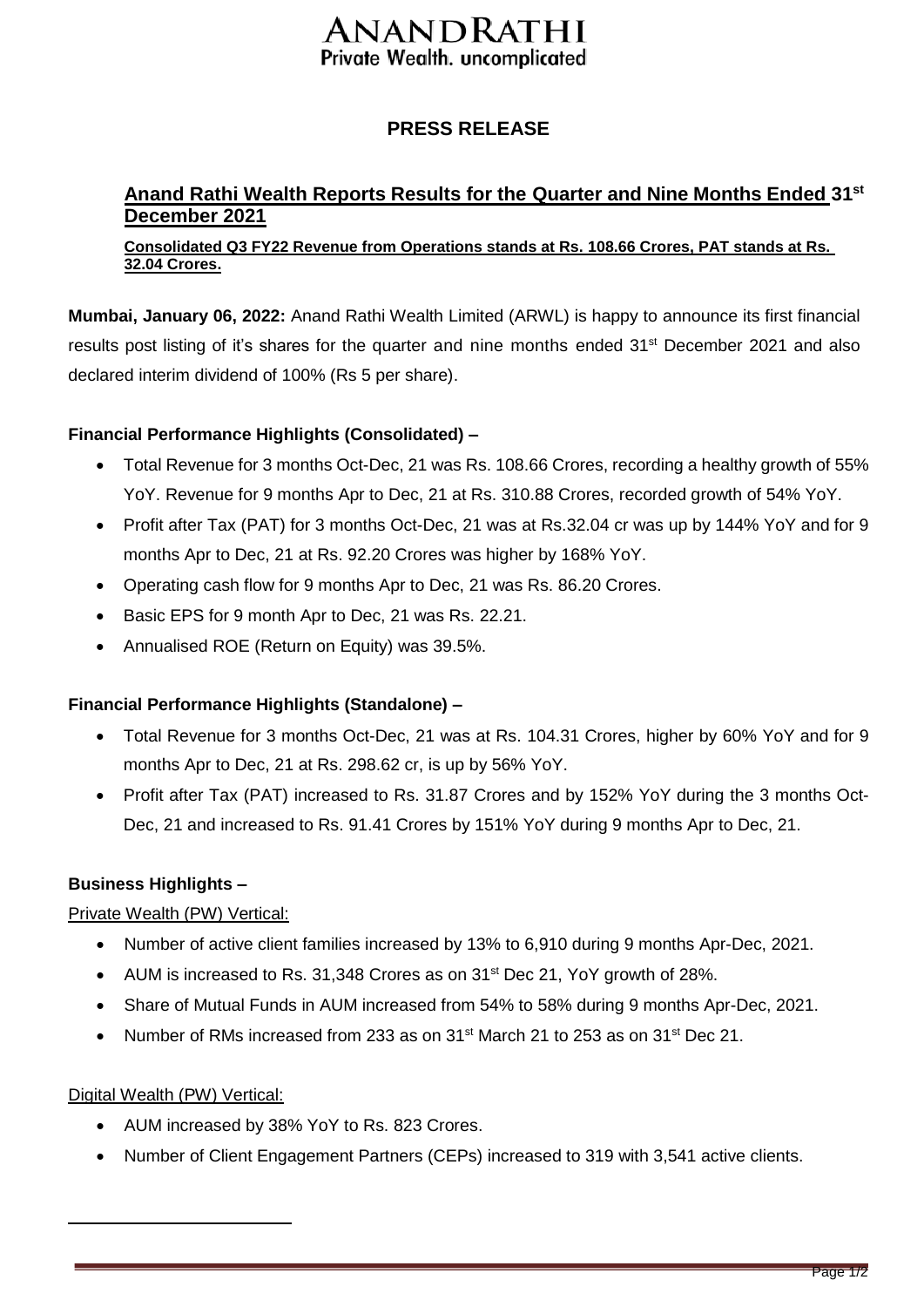# ANANDRATHI Private Wealth. uncomplicated

## **PRESS RELEASE**

## **Anand Rathi Wealth Reports Results for the Quarter and Nine Months Ended 31st December 2021**

#### **Consolidated Q3 FY22 Revenue from Operations stands at Rs. 108.66 Crores, PAT stands at Rs. 32.04 Crores.**

**Mumbai, January 06, 2022:** Anand Rathi Wealth Limited (ARWL) is happy to announce its first financial results post listing of it's shares for the quarter and nine months ended 31<sup>st</sup> December 2021 and also declared interim dividend of 100% (Rs 5 per share).

#### **Financial Performance Highlights (Consolidated) –**

- Total Revenue for 3 months Oct-Dec, 21 was Rs. 108.66 Crores, recording a healthy growth of 55% YoY. Revenue for 9 months Apr to Dec, 21 at Rs. 310.88 Crores, recorded growth of 54% YoY.
- Profit after Tax (PAT) for 3 months Oct-Dec, 21 was at Rs.32.04 cr was up by 144% YoY and for 9 months Apr to Dec, 21 at Rs. 92.20 Crores was higher by 168% YoY.
- Operating cash flow for 9 months Apr to Dec, 21 was Rs. 86.20 Crores.
- Basic EPS for 9 month Apr to Dec, 21 was Rs. 22.21.
- Annualised ROE (Return on Equity) was 39.5%.

#### **Financial Performance Highlights (Standalone) –**

- Total Revenue for 3 months Oct-Dec, 21 was at Rs. 104.31 Crores, higher by 60% YoY and for 9 months Apr to Dec, 21 at Rs. 298.62 cr, is up by 56% YoY.
- Profit after Tax (PAT) increased to Rs. 31.87 Crores and by 152% YoY during the 3 months Oct-Dec, 21 and increased to Rs. 91.41 Crores by 151% YoY during 9 months Apr to Dec, 21.

#### **Business Highlights –**

#### Private Wealth (PW) Vertical:

- Number of active client families increased by 13% to 6,910 during 9 months Apr-Dec, 2021.
- AUM is increased to Rs. 31,348 Crores as on 31<sup>st</sup> Dec 21, YoY growth of 28%.
- Share of Mutual Funds in AUM increased from 54% to 58% during 9 months Apr-Dec, 2021.
- Number of RMs increased from 233 as on  $31<sup>st</sup>$  March 21 to 253 as on  $31<sup>st</sup>$  Dec 21.

#### Digital Wealth (PW) Vertical:

- AUM increased by 38% YoY to Rs. 823 Crores.
- Number of Client Engagement Partners (CEPs) increased to 319 with 3,541 active clients.